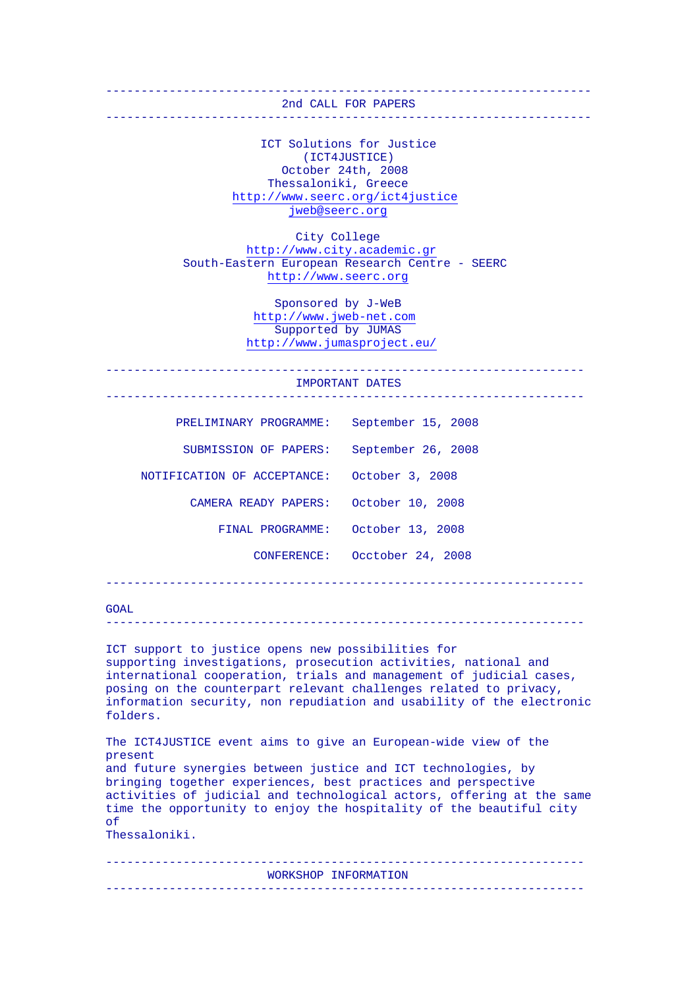## 2nd CALL FOR PAPERS

 $-$ 

## ---------------------------------------------------------------------

 ICT Solutions for Justice (ICT4JUSTICE) October 24th, 2008 Thessaloniki, Greece <http://www.seerc.org/ict4justice> [jweb@seerc.org](mailto:jweb@seerc.org)

 City College [http://www.city.academic.gr](http://www.city.academic.gr/) South-Eastern European Research Centre - SEERC [http://www.seerc.org](http://www.seerc.org/)

> Sponsored by J-WeB [http://www.jweb-net.com](http://www.jweb-net.com/) Supported by JUMAS <http://www.jumasproject.eu/>

--------------------------------------------------------------------

-------------------------------------------------------------------- IMPORTANT DATES

| PRELIMINARY PROGRAMME:      | September 15, 2008            |
|-----------------------------|-------------------------------|
| SUBMISSION OF PAPERS:       | September 26, 2008            |
| NOTIFICATION OF ACCEPTANCE: | October 3, 2008               |
| CAMERA READY PAPERS:        | October 10, 2008              |
| FINAL PROGRAMME:            | October 13, 2008              |
|                             | CONFERENCE: Occtober 24, 2008 |

--------------------------------------------------------------------

GOAL

--------------------------------------------------------------------

ICT support to justice opens new possibilities for supporting investigations, prosecution activities, national and international cooperation, trials and management of judicial cases, posing on the counterpart relevant challenges related to privacy, information security, non repudiation and usability of the electronic folders.

The ICT4JUSTICE event aims to give an European-wide view of the present and future synergies between justice and ICT technologies, by bringing together experiences, best practices and perspective activities of judicial and technological actors, offering at the same time the opportunity to enjoy the hospitality of the beautiful city of Thessaloniki.

WORKSHOP INFORMATION

--------------------------------------------------------------------

--------------------------------------------------------------------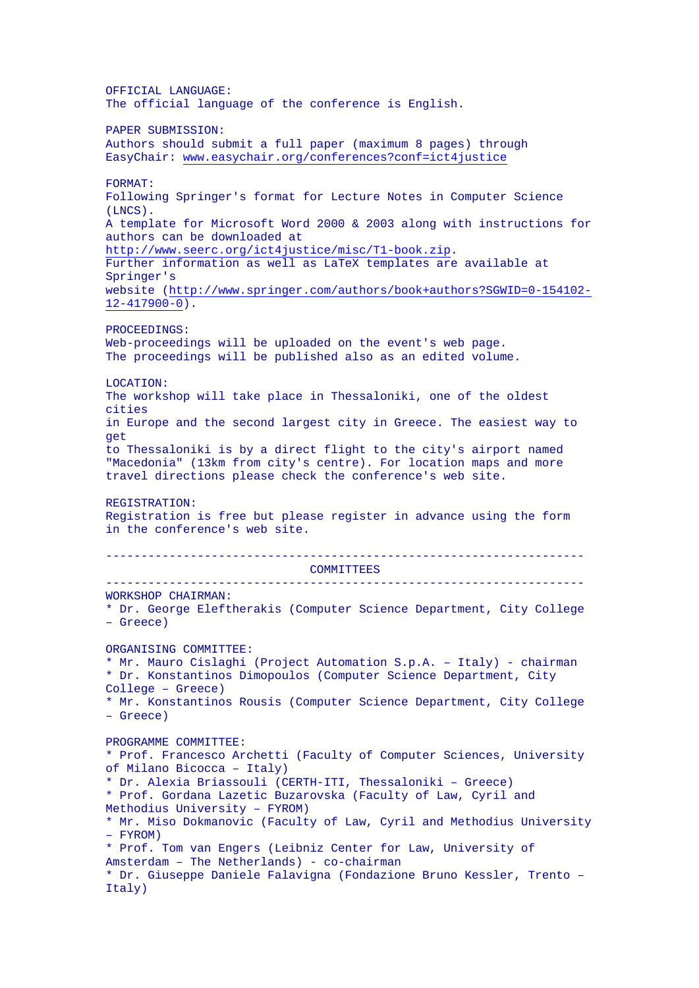OFFICIAL LANGUAGE: The official language of the conference is English. PAPER SUBMISSION: Authors should submit a full paper (maximum 8 pages) through EasyChair: [www.easychair.org/conferences?conf=ict4justice](http://www.easychair.org/conferences?conf=ict4justice) FORMAT: Following Springer's format for Lecture Notes in Computer Science (LNCS). A template for Microsoft Word 2000 & 2003 along with instructions for authors can be downloaded at <http://www.seerc.org/ict4justice/misc/T1-book.zip>. Further information as well as LaTeX templates are available at Springer's website [\(http://www.springer.com/authors/book+authors?SGWID=0-154102-](http://www.springer.com/authors/book+authors?SGWID=0-154102-12-417900-0)  $12-417900-0$ ). PROCEEDINGS: Web-proceedings will be uploaded on the event's web page. The proceedings will be published also as an edited volume. LOCATION: The workshop will take place in Thessaloniki, one of the oldest cities in Europe and the second largest city in Greece. The easiest way to get to Thessaloniki is by a direct flight to the city's airport named "Macedonia" (13km from city's centre). For location maps and more travel directions please check the conference's web site. REGISTRATION: Registration is free but please register in advance using the form in the conference's web site. -------------------------------------------------------------------- COMMITTEES -------------------------------------------------------------------- WORKSHOP CHAIRMAN: \* Dr. George Eleftherakis (Computer Science Department, City College – Greece) ORGANISING COMMITTEE: \* Mr. Mauro Cislaghi (Project Automation S.p.A. – Italy) - chairman \* Dr. Konstantinos Dimopoulos (Computer Science Department, City College – Greece) \* Mr. Konstantinos Rousis (Computer Science Department, City College – Greece) PROGRAMME COMMITTEE: \* Prof. Francesco Archetti (Faculty of Computer Sciences, University of Milano Bicocca – Italy) \* Dr. Alexia Briassouli (CERTH-ITI, Thessaloniki – Greece) \* Prof. Gordana Lazetic Buzarovska (Faculty of Law, Cyril and Methodius University – FYROM) \* Mr. Miso Dokmanovic (Faculty of Law, Cyril and Methodius University – FYROM) \* Prof. Tom van Engers (Leibniz Center for Law, University of Amsterdam – The Netherlands) - co-chairman \* Dr. Giuseppe Daniele Falavigna (Fondazione Bruno Kessler, Trento – Italy)